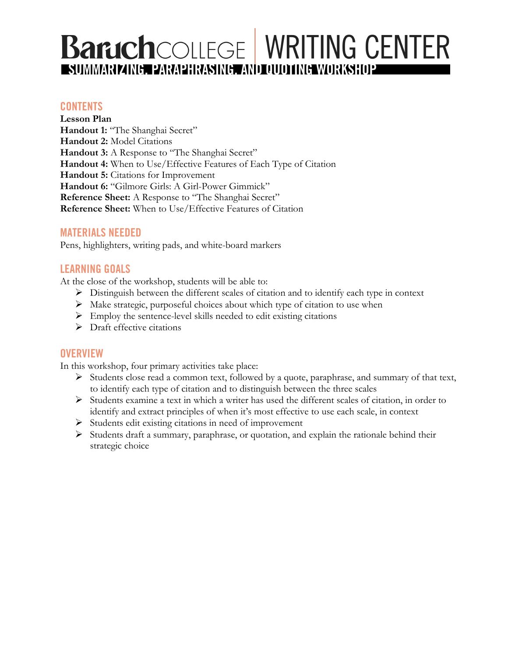# **Barich**COLLEGE WRITING CENTER

# **CONTENTS**

**Lesson Plan** Handout 1: "The Shanghai Secret" **Handout 2:** Model Citations Handout 3: A Response to "The Shanghai Secret" **Handout 4:** When to Use/Effective Features of Each Type of Citation **Handout 5:** Citations for Improvement **Handout 6:** "Gilmore Girls: A Girl-Power Gimmick" **Reference Sheet:** A Response to "The Shanghai Secret" **Reference Sheet:** When to Use/Effective Features of Citation

## **MATERIALS NEEDED**

Pens, highlighters, writing pads, and white-board markers

# **LEARNING GOALS**

At the close of the workshop, students will be able to:

- Ø Distinguish between the different scales of citation and to identify each type in context
- $\triangleright$  Make strategic, purposeful choices about which type of citation to use when
- $\triangleright$  Employ the sentence-level skills needed to edit existing citations
- $\triangleright$  Draft effective citations

## **OVERVIEW**

In this workshop, four primary activities take place:

- $\triangleright$  Students close read a common text, followed by a quote, paraphrase, and summary of that text, to identify each type of citation and to distinguish between the three scales
- Ø Students examine a text in which a writer has used the different scales of citation, in order to identify and extract principles of when it's most effective to use each scale, in context
- Ø Students edit existing citations in need of improvement
- $\triangleright$  Students draft a summary, paraphrase, or quotation, and explain the rationale behind their strategic choice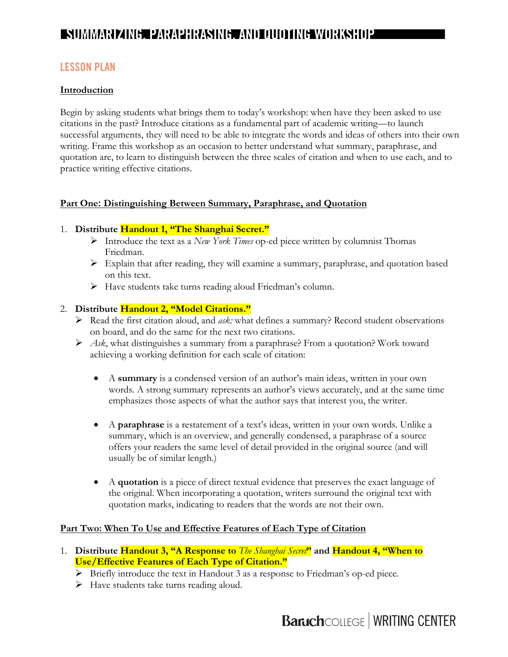# **LESSON PLAN**

#### **Introduction**

Begin by asking students what brings them to today's workshop: when have they been asked to use citations in the past? Introduce citations as a fundamental part of academic writing—to launch successful arguments, they will need to be able to integrate the words and ideas of others into their own writing. Frame this workshop as an occasion to better understand what summary, paraphrase, and quotation are, to learn to distinguish between the three scales of citation and when to use each, and to practice writing effective citations.

#### Part One: Distinguishing Between Summary, Paraphrase, and Quotation

#### 1. **Distribute Handout 1, "The Shanghai Secret."**

- Ø Introduce the text as a *New York Times* op-ed piece written by columnist Thomas Friedman.
- Ø Explain that after reading, they will examine a summary, paraphrase, and quotation based on this text.
- $\triangleright$  Have students take turns reading aloud Friedman's column.

#### 2. **Distribute Handout 2, "Model Citations."**

- Ø Read the first citation aloud, and *ask:* what defines a summary? Record student observations on board, and do the same for the next two citations.
- Ø *Ask*, what distinguishes a summary from a paraphrase? From a quotation? Work toward achieving a working definition for each scale of citation:
	- A **summary** is a condensed version of an author's main ideas, written in your own words. A strong summary represents an author's views accurately, and at the same time emphasizes those aspects of what the author says that interest you, the writer.
	- A **paraphrase** is a restatement of a text's ideas, written in your own words. Unlike a summary, which is an overview, and generally condensed, a paraphrase of a source offers your readers the same level of detail provided in the original source (and will usually be of similar length.)
	- A **quotation** is a piece of direct textual evidence that preserves the exact language of the original. When incorporating a quotation, writers surround the original text with quotation marks, indicating to readers that the words are not their own.

#### **Part Two: When To Use and Effective Features of Each Type of Citation**

- 1. **Distribute Handout 3, "A Response to** *The Shanghai Secret***" and Handout 4, "When to Use/Effective Features of Each Type of Citation."**
	- Ø Briefly introduce the text in Handout 3 as a response to Friedman's op-ed piece*.*
	- $\triangleright$  Have students take turns reading aloud.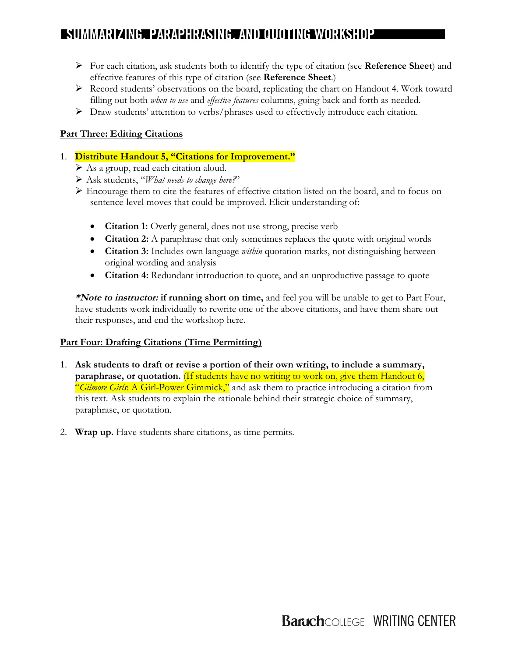- Ø For each citation, ask students both to identify the type of citation (see **Reference Sheet**) and effective features of this type of citation (see **Reference Sheet**.)
- $\triangleright$  Record students' observations on the board, replicating the chart on Handout 4. Work toward filling out both *when to use* and *effective features* columns, going back and forth as needed.
- $\triangleright$  Draw students' attention to verbs/phrases used to effectively introduce each citation.

## **Part Three: Editing Citations**

#### 1. **Distribute Handout 5, "Citations for Improvement."**

- $\triangleright$  As a group, read each citation aloud.
- Ø Ask students, "*What needs to change here?*"
- Ø Encourage them to cite the features of effective citation listed on the board, and to focus on sentence-level moves that could be improved. Elicit understanding of:
	- **Citation 1:** Overly general, does not use strong, precise verb
	- **Citation 2:** A paraphrase that only sometimes replaces the quote with original words
	- **Citation 3:** Includes own language *within* quotation marks, not distinguishing between original wording and analysis
	- **Citation 4:** Redundant introduction to quote, and an unproductive passage to quote

**\*Note to instructor: if running short on time,** and feel you will be unable to get to Part Four, have students work individually to rewrite one of the above citations, and have them share out their responses, and end the workshop here.

#### **Part Four: Drafting Citations (Time Permitting)**

- 1. **Ask students to draft or revise a portion of their own writing, to include a summary, paraphrase, or quotation.** (If students have no writing to work on, give them Handout 6, "*Gilmore Girls*: A Girl-Power Gimmick," and ask them to practice introducing a citation from this text. Ask students to explain the rationale behind their strategic choice of summary, paraphrase, or quotation.
- 2. **Wrap up.** Have students share citations, as time permits.

**Baruch**COLLEGE | WRITING CENTER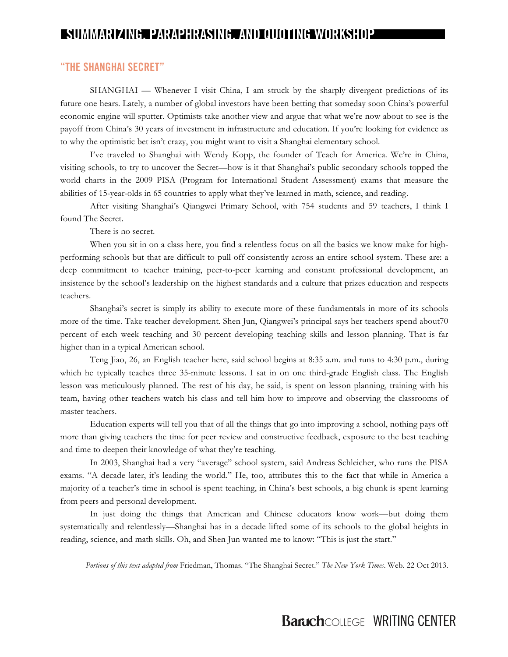#### **"THE SHANGHAI SECRET"**

SHANGHAI — Whenever I visit China, I am struck by the sharply divergent predictions of its future one hears. Lately, a number of global investors have been betting that someday soon China's powerful economic engine will sputter. Optimists take another view and argue that what we're now about to see is the payoff from China's 30 years of investment in infrastructure and education. If you're looking for evidence as to why the optimistic bet isn't crazy, you might want to visit a Shanghai elementary school.

I've traveled to Shanghai with Wendy Kopp, the founder of Teach for America. We're in China, visiting schools, to try to uncover the Secret—how is it that Shanghai's public secondary schools topped the world charts in the 2009 PISA (Program for International Student Assessment) exams that measure the abilities of 15-year-olds in 65 countries to apply what they've learned in math, science, and reading.

After visiting Shanghai's Qiangwei Primary School, with 754 students and 59 teachers, I think I found The Secret.

There is no secret.

When you sit in on a class here, you find a relentless focus on all the basics we know make for highperforming schools but that are difficult to pull off consistently across an entire school system. These are: a deep commitment to teacher training, peer-to-peer learning and constant professional development, an insistence by the school's leadership on the highest standards and a culture that prizes education and respects teachers.

Shanghai's secret is simply its ability to execute more of these fundamentals in more of its schools more of the time. Take teacher development. Shen Jun, Qiangwei's principal says her teachers spend about70 percent of each week teaching and 30 percent developing teaching skills and lesson planning. That is far higher than in a typical American school.

Teng Jiao, 26, an English teacher here, said school begins at 8:35 a.m. and runs to 4:30 p.m., during which he typically teaches three 35-minute lessons. I sat in on one third-grade English class. The English lesson was meticulously planned. The rest of his day, he said, is spent on lesson planning, training with his team, having other teachers watch his class and tell him how to improve and observing the classrooms of master teachers.

Education experts will tell you that of all the things that go into improving a school, nothing pays off more than giving teachers the time for peer review and constructive feedback, exposure to the best teaching and time to deepen their knowledge of what they're teaching.

In 2003, Shanghai had a very "average" school system, said Andreas Schleicher, who runs the PISA exams. "A decade later, it's leading the world." He, too, attributes this to the fact that while in America a majority of a teacher's time in school is spent teaching, in China's best schools, a big chunk is spent learning from peers and personal development.

In just doing the things that American and Chinese educators know work—but doing them systematically and relentlessly—Shanghai has in a decade lifted some of its schools to the global heights in reading, science, and math skills. Oh, and Shen Jun wanted me to know: "This is just the start."

*Portions of this text adapted from* Friedman, Thomas. "The Shanghai Secret." *The New York Times*. Web. 22 Oct 2013.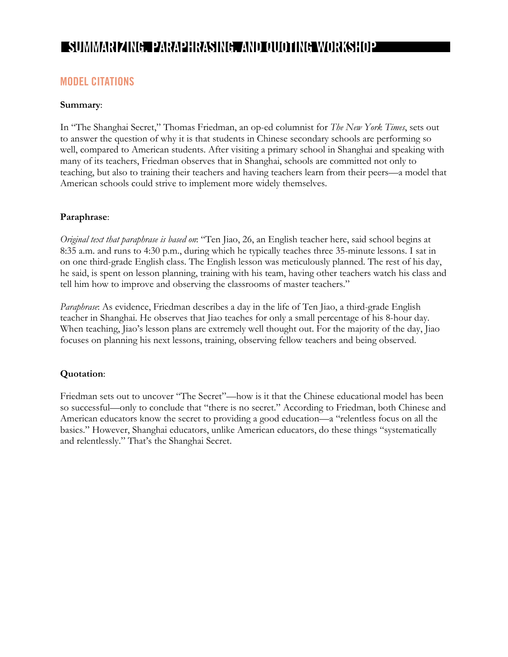# **MODEL CITATIONS**

#### **Summary**:

In "The Shanghai Secret," Thomas Friedman, an op-ed columnist for *The New York Times*, sets out to answer the question of why it is that students in Chinese secondary schools are performing so well, compared to American students. After visiting a primary school in Shanghai and speaking with many of its teachers, Friedman observes that in Shanghai, schools are committed not only to teaching, but also to training their teachers and having teachers learn from their peers—a model that American schools could strive to implement more widely themselves.

#### **Paraphrase**:

*Original text that paraphrase is based on*: "Ten Jiao, 26, an English teacher here, said school begins at 8:35 a.m. and runs to 4:30 p.m., during which he typically teaches three 35-minute lessons. I sat in on one third-grade English class. The English lesson was meticulously planned. The rest of his day, he said, is spent on lesson planning, training with his team, having other teachers watch his class and tell him how to improve and observing the classrooms of master teachers."

*Paraphrase*: As evidence, Friedman describes a day in the life of Ten Jiao, a third-grade English teacher in Shanghai. He observes that Jiao teaches for only a small percentage of his 8-hour day. When teaching, Jiao's lesson plans are extremely well thought out. For the majority of the day, Jiao focuses on planning his next lessons, training, observing fellow teachers and being observed.

#### **Quotation**:

Friedman sets out to uncover "The Secret"—how is it that the Chinese educational model has been so successful—only to conclude that "there is no secret." According to Friedman, both Chinese and American educators know the secret to providing a good education—a "relentless focus on all the basics." However, Shanghai educators, unlike American educators, do these things "systematically and relentlessly." That's the Shanghai Secret.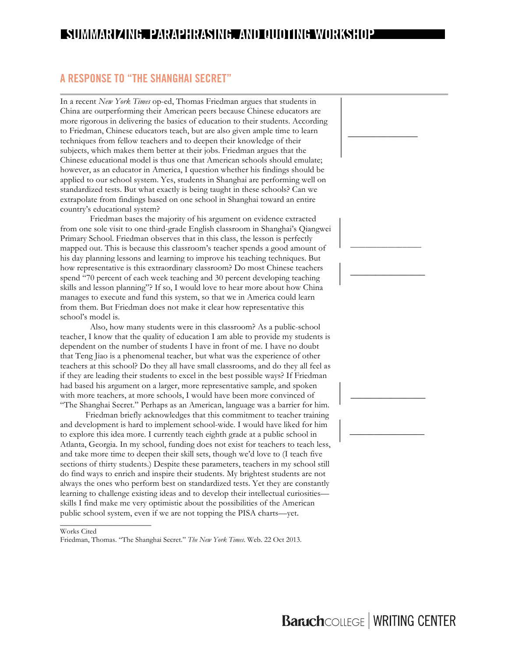# **A RESPONSE TO "THE SHANGHAI SECRET"**

In a recent *New York Times* op-ed, Thomas Friedman argues that students in China are outperforming their American peers because Chinese educators are more rigorous in delivering the basics of education to their students. According to Friedman, Chinese educators teach, but are also given ample time to learn techniques from fellow teachers and to deepen their knowledge of their subjects, which makes them better at their jobs. Friedman argues that the Chinese educational model is thus one that American schools should emulate; however, as an educator in America, I question whether his findings should be applied to our school system. Yes, students in Shanghai are performing well on standardized tests. But what exactly is being taught in these schools? Can we extrapolate from findings based on one school in Shanghai toward an entire country's educational system?

Friedman bases the majority of his argument on evidence extracted from one sole visit to one third-grade English classroom in Shanghai's Qiangwei Primary School. Friedman observes that in this class, the lesson is perfectly mapped out. This is because this classroom's teacher spends a good amount of his day planning lessons and learning to improve his teaching techniques. But how representative is this extraordinary classroom? Do most Chinese teachers spend "70 percent of each week teaching and 30 percent developing teaching skills and lesson planning"? If so, I would love to hear more about how China manages to execute and fund this system, so that we in America could learn from them. But Friedman does not make it clear how representative this school's model is.

Also, how many students were in this classroom? As a public-school teacher, I know that the quality of education I am able to provide my students is dependent on the number of students I have in front of me. I have no doubt that Teng Jiao is a phenomenal teacher, but what was the experience of other teachers at this school? Do they all have small classrooms, and do they all feel as if they are leading their students to excel in the best possible ways? If Friedman had based his argument on a larger, more representative sample, and spoken with more teachers, at more schools, I would have been more convinced of "The Shanghai Secret." Perhaps as an American, language was a barrier for him.

Friedman briefly acknowledges that this commitment to teacher training and development is hard to implement school-wide. I would have liked for him to explore this idea more. I currently teach eighth grade at a public school in Atlanta, Georgia. In my school, funding does not exist for teachers to teach less, and take more time to deepen their skill sets, though we'd love to (I teach five sections of thirty students.) Despite these parameters, teachers in my school still do find ways to enrich and inspire their students. My brightest students are not always the ones who perform best on standardized tests. Yet they are constantly learning to challenge existing ideas and to develop their intellectual curiosities skills I find make me very optimistic about the possibilities of the American public school system, even if we are not topping the PISA charts—yet.

#### Works Cited

\_\_\_\_\_\_\_\_\_\_\_\_\_\_\_\_\_\_\_\_\_\_

Friedman, Thomas. "The Shanghai Secret." *The New York Times*. Web. 22 Oct 2013.

**\_\_\_\_\_\_\_\_\_\_\_\_\_\_**

\_\_\_\_\_\_\_\_\_\_\_\_\_\_\_\_\_\_\_

**\_\_\_\_\_\_\_\_\_\_\_\_\_\_\_**

**\_\_\_\_\_\_\_\_\_\_\_\_\_\_\_**

**\_\_\_\_\_\_\_\_\_\_\_\_\_\_\_**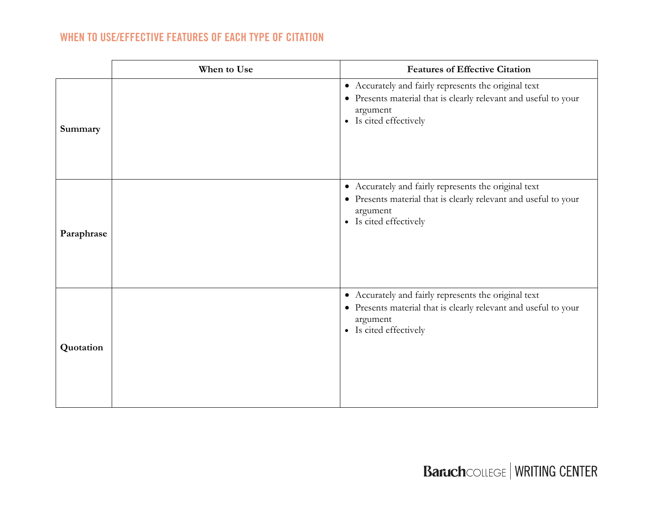# **WHEN TO USE/EFFECTIVE FEATURES OF EACH TYPE OF CITATION**

|            | When to Use | <b>Features of Effective Citation</b>                                                                                                                         |
|------------|-------------|---------------------------------------------------------------------------------------------------------------------------------------------------------------|
| Summary    |             | • Accurately and fairly represents the original text<br>• Presents material that is clearly relevant and useful to your<br>argument<br>• Is cited effectively |
| Paraphrase |             | • Accurately and fairly represents the original text<br>• Presents material that is clearly relevant and useful to your<br>argument<br>• Is cited effectively |
| Quotation  |             | • Accurately and fairly represents the original text<br>• Presents material that is clearly relevant and useful to your<br>argument<br>• Is cited effectively |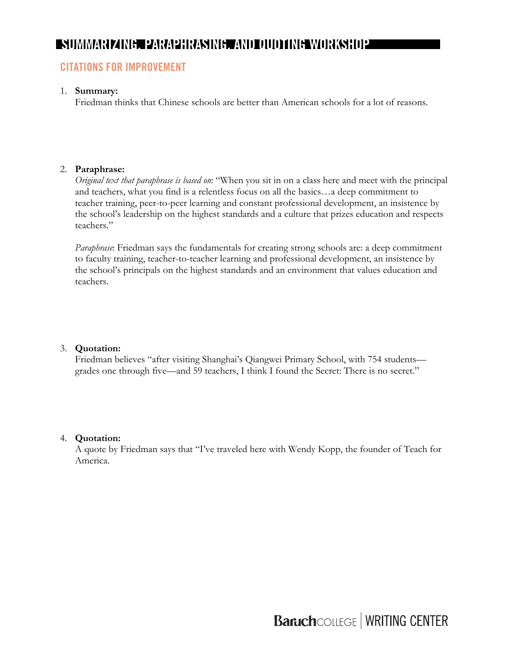# **CITATIONS FOR IMPROVEMENT**

#### 1. **Summary:**

Friedman thinks that Chinese schools are better than American schools for a lot of reasons.

## 2. **Paraphrase:**

*Original text that paraphrase is based on*: "When you sit in on a class here and meet with the principal and teachers, what you find is a relentless focus on all the basics…a deep commitment to teacher training, peer-to-peer learning and constant professional development, an insistence by the school's leadership on the highest standards and a culture that prizes education and respects teachers."

*Paraphrase*: Friedman says the fundamentals for creating strong schools are: a deep commitment to faculty training, teacher-to-teacher learning and professional development, an insistence by the school's principals on the highest standards and an environment that values education and teachers.

## 3. **Quotation:**

Friedman believes "after visiting Shanghai's Qiangwei Primary School, with 754 students grades one through five—and 59 teachers, I think I found the Secret: There is no secret."

## 4. **Quotation:**

A quote by Friedman says that "I've traveled here with Wendy Kopp, the founder of Teach for America.

**Baruch**COLLEGE | WRITING CENTER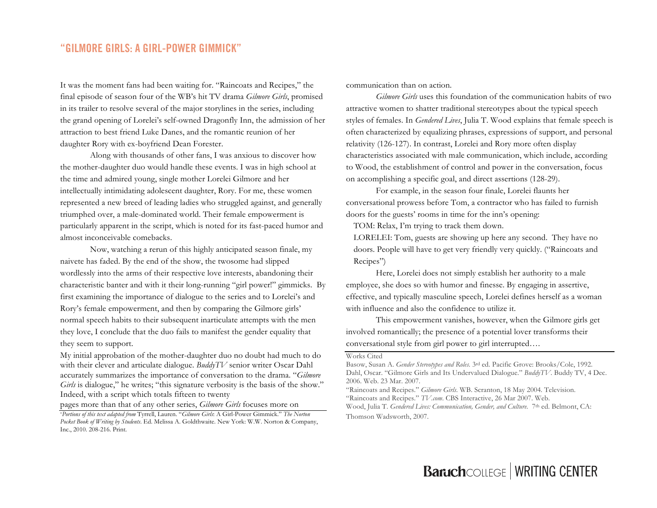## **"GILMORE GIRLS: A GIRL-POWER GIMMICK"**

It was the moment fans had been waiting for. "Raincoats and Recipes," the final episode of season four of the WB's hit TV drama *Gilmore Girls*, promised in its trailer to resolve several of the major storylines in the series, including the grand opening of Lorelei's self-owned Dragonfly Inn, the admission of her attraction to best friend Luke Danes, and the romantic reunion of her daughter Rory with ex-boyfriend Dean Forester.

Along with thousands of other fans, I was anxious to discover how the mother-daughter duo would handle these events. I was in high school at the time and admired young, single mother Lorelei Gilmore and her intellectually intimidating adolescent daughter, Rory. For me, these women represented a new breed of leading ladies who struggled against, and generally triumphed over, a male-dominated world. Their female empowerment is particularly apparent in the script, which is noted for its fast-paced humor and almost inconceivable comebacks.

Now, watching a rerun of this highly anticipated season finale, my naivete has faded. By the end of the show, the twosome had slipped wordlessly into the arms of their respective love interests, abandoning their characteristic banter and with it their long-running "girl power!" gimmicks. By first examining the importance of dialogue to the series and to Lorelei's and Rory's female empowerment, and then by comparing the Gilmore girls' normal speech habits to their subsequent inarticulate attempts with the men they love, I conclude that the duo fails to manifest the gender equality that they seem to support.

My initial approbation of the mother-daughter duo no doubt had much to do with their clever and articulate dialogue. *BuddyTV* senior writer Oscar Dahl accurately summarizes the importance of conversation to the drama. "*Gilmore Girls* is dialogue," he writes; "this signature verbosity is the basis of the show." Indeed, with a script which totals fifteen to twenty

pages more than that of any other series, *Gilmore Girls* focuses more on

communication than on action.

*Gilmore Girls* uses this foundation of the communication habits of two attractive women to shatter traditional stereotypes about the typical speech styles of females. In *Gendered Lives*, Julia T. Wood explains that female speech is often characterized by equalizing phrases, expressions of support, and personal relativity (126-127). In contrast, Lorelei and Rory more often display characteristics associated with male communication, which include, according to Wood, the establishment of control and power in the conversation, focus on accomplishing a specific goal, and direct assertions (128-29).

For example, in the season four finale, Lorelei flaunts her conversational prowess before Tom, a contractor who has failed to furnish doors for the guests' rooms in time for the inn's opening:

TOM: Relax, I'm trying to track them down.

LORELEI: Tom, guests are showing up here any second. They have no doors. People will have to get very friendly very quickly. ("Raincoats and Recipes")

Here, Lorelei does not simply establish her authority to a male employee, she does so with humor and finesse. By engaging in assertive, effective, and typically masculine speech, Lorelei defines herself as a woman with influence and also the confidence to utilize it.

This empowerment vanishes, however, when the Gilmore girls get involved romantically; the presence of a potential lover transforms their conversational style from girl power to girl interrupted….

#### Works Cited

<sup>\*</sup>*Portions of this text adapted from* Tyrrell, Lauren. "*Gilmore Girls*: A Girl-Power Gimmick." *The Norton Pocket Book of Writing by Students*. Ed. Melissa A. Goldthwaite. New York: W.W. Norton & Company, Inc., 2010. 208-216. Print.

Basow, Susan A. *Gender Stereotypes and Roles.* 3rd ed. Pacific Grove: Brooks/Cole, 1992. Dahl, Oscar. "Gilmore Girls and Its Undervalued Dialogue." *BuddyTV*. Buddy TV, 4 Dec. 2006. Web. 23 Mar. 2007.

<sup>&</sup>quot;Raincoats and Recipes." *Gilmore Girls*. WB. Scranton, 18 May 2004. Television. "Raincoats and Recipes." *TV.com*. CBS Interactive, 26 Mar 2007. Web. Wood, Julia T. *Gendered Lives: Communication, Gender, and Culture.* 7<sup>th</sup> ed. Belmont, CA: Thomson Wadsworth, 2007.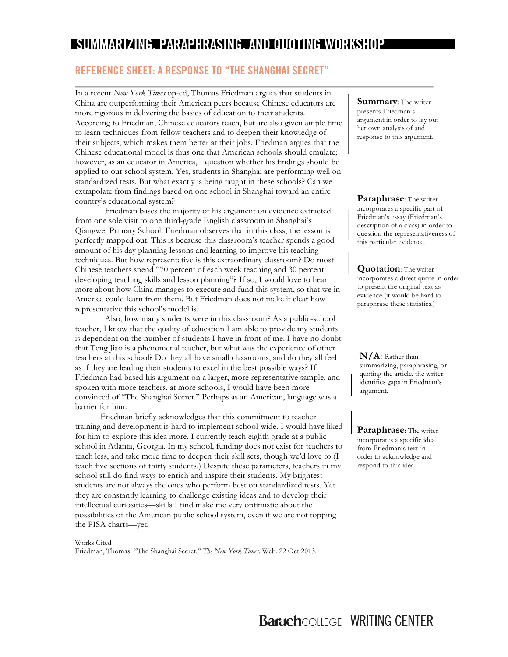## **REFERENCE SHEET: A RESPONSE TO "THE SHANGHAI SECRET"**

In a recent *New York Times* op-ed, Thomas Friedman argues that students in China are outperforming their American peers because Chinese educators are more rigorous in delivering the basics of education to their students. According to Friedman, Chinese educators teach, but are also given ample time to learn techniques from fellow teachers and to deepen their knowledge of their subjects, which makes them better at their jobs. Friedman argues that the Chinese educational model is thus one that American schools should emulate; however, as an educator in America, I question whether his findings should be applied to our school system. Yes, students in Shanghai are performing well on standardized tests. But what exactly is being taught in these schools? Can we extrapolate from findings based on one school in Shanghai toward an entire country's educational system?

Friedman bases the majority of his argument on evidence extracted from one sole visit to one third-grade English classroom in Shanghai's Qiangwei Primary School. Friedman observes that in this class, the lesson is perfectly mapped out. This is because this classroom's teacher spends a good amount of his day planning lessons and learning to improve his teaching techniques. But how representative is this extraordinary classroom? Do most Chinese teachers spend "70 percent of each week teaching and 30 percent developing teaching skills and lesson planning"? If so, I would love to hear more about how China manages to execute and fund this system, so that we in America could learn from them. But Friedman does not make it clear how representative this school's model is.

Also, how many students were in this classroom? As a public-school teacher, I know that the quality of education I am able to provide my students is dependent on the number of students I have in front of me. I have no doubt that Teng Jiao is a phenomenal teacher, but what was the experience of other teachers at this school? Do they all have small classrooms, and do they all feel as if they are leading their students to excel in the best possible ways? If Friedman had based his argument on a larger, more representative sample, and spoken with more teachers, at more schools, I would have been more convinced of "The Shanghai Secret." Perhaps as an American, language was a barrier for him.

Friedman briefly acknowledges that this commitment to teacher training and development is hard to implement school-wide. I would have liked for him to explore this idea more. I currently teach eighth grade at a public school in Atlanta, Georgia. In my school, funding does not exist for teachers to teach less, and take more time to deepen their skill sets, though we'd love to (I teach five sections of thirty students.) Despite these parameters, teachers in my school still do find ways to enrich and inspire their students. My brightest students are not always the ones who perform best on standardized tests. Yet they are constantly learning to challenge existing ideas and to develop their intellectual curiosities—skills I find make me very optimistic about the possibilities of the American public school system, even if we are not topping the PISA charts—yet.

Works Cited Friedman, Thomas. "The Shanghai Secret." *The New York Times*. Web. 22 Oct 2013.

\_\_\_\_\_\_\_\_\_\_\_\_\_\_\_\_\_\_\_\_\_\_

**Summary**: The writer presents Friedman's argument in order to lay out her own analysis of and response to this argument.

**Paraphrase**: The writer incorporates a specific part of Friedman's essay (Friedman's description of a class) in order to question the representativeness of this particular evidence.

**Quotation**: The writer incorporates a direct quote in order to present the original text as evidence (it would be hard to paraphrase these statistics.)

**N/A**: Rather than summarizing, paraphrasing, or quoting the article, the writer identifies gaps in Friedman's argument.

**Paraphrase:** The writer incorporates a specific idea from Friedman's text in order to acknowledge and respond to this idea.